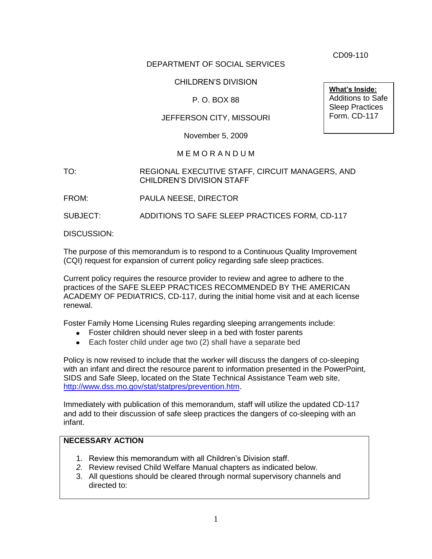CD09-110

**What's Inside:** Additions to Safe Sleep Practices Form. CD-117

#### DEPARTMENT OF SOCIAL SERVICES

### CHILDREN'S DIVISION

### P. O. BOX 88

### JEFFERSON CITY, MISSOURI

November 5, 2009

#### M E M O R A N D U M

#### TO: REGIONAL EXECUTIVE STAFF, CIRCUIT MANAGERS, AND CHILDREN'S DIVISION STAFF

FROM: PAULA NEESE, DIRECTOR

SUBJECT: ADDITIONS TO SAFE SLEEP PRACTICES FORM, CD-117

DISCUSSION:

The purpose of this memorandum is to respond to a Continuous Quality Improvement (CQI) request for expansion of current policy regarding safe sleep practices.

Current policy requires the resource provider to review and agree to adhere to the practices of the SAFE SLEEP PRACTICES RECOMMENDED BY THE AMERICAN ACADEMY OF PEDIATRICS, CD-117, during the initial home visit and at each license renewal.

Foster Family Home Licensing Rules regarding sleeping arrangements include:

- Foster children should never sleep in a bed with foster parents
- Each foster child under age two (2) shall have a separate bed

Policy is now revised to include that the worker will discuss the dangers of co-sleeping with an infant and direct the resource parent to information presented in the PowerPoint, SIDS and Safe Sleep, located on the State Technical Assistance Team web site, [http://www.dss.mo.gov/stat/statpres/prevention.htm.](http://www.dss.mo.gov/stat/statpres/prevention.htm)

Immediately with publication of this memorandum, staff will utilize the updated CD-117 and add to their discussion of safe sleep practices the dangers of co-sleeping with an infant.

## **NECESSARY ACTION**

- 1. Review this memorandum with all Children's Division staff.
- *2.* Review revised Child Welfare Manual chapters as indicated below.
- 3. All questions should be cleared through normal supervisory channels and directed to: